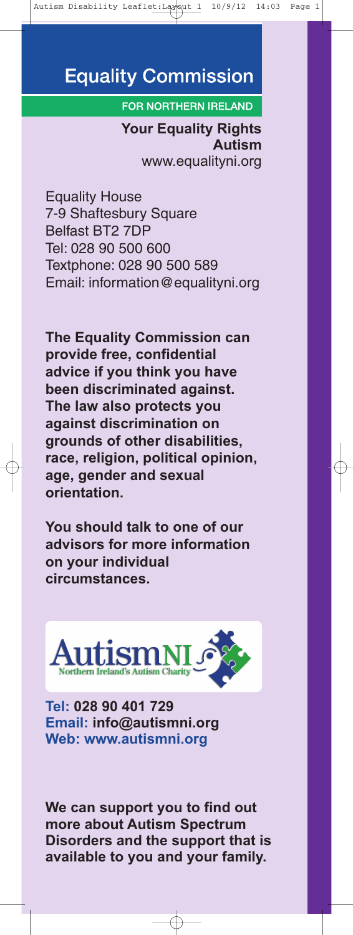# **Equality Commission**

#### **FOR NORTHERN IRELAND**

**Your Equality Rights Autism** www.equalityni.org

Equality House 7-9 Shaftesbury Square Belfast BT2 7DP Tel: 028 90 500 600 Textphone: 028 90 500 589 Email: information@equalityni.org

**The Equality Commission can provide free, confidential advice if you think you have been discriminated against. The law also protects you against discrimination on grounds of other disabilities, race, religion, political opinion, age, gender and sexual orientation.**

**You should talk to one of our advisors for more information on your individual circumstances.**



**Tel: 028 90 401 729 Email: info@autismni.org Web: www.autismni.org**

**We can support you to find out more about Autism Spectrum Disorders and the support that is available to you and your family.**